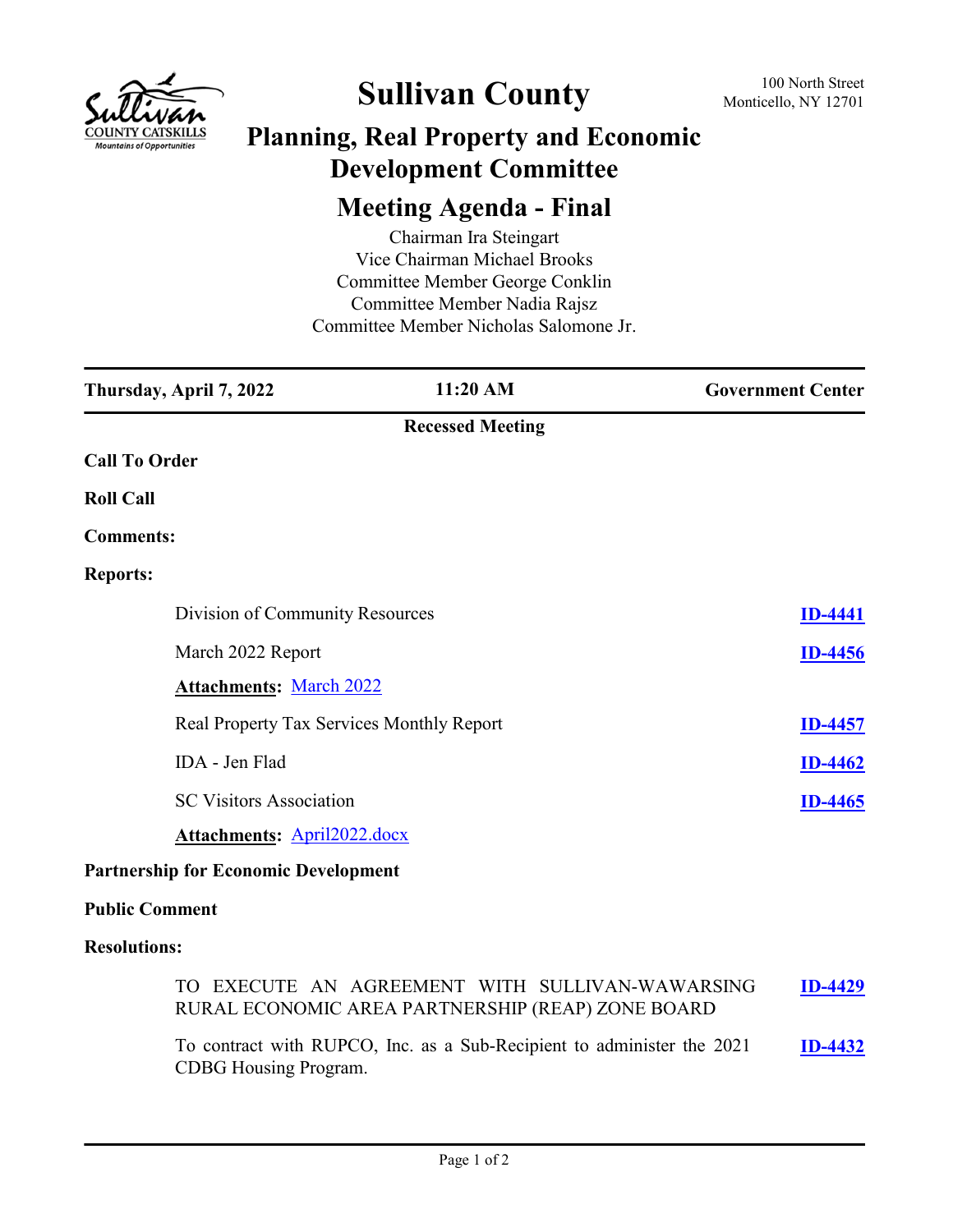

# **Sullivan County** 100 North Street 100 North Street

### **Planning, Real Property and Economic Development Committee**

## **Meeting Agenda - Final**

Chairman Ira Steingart Vice Chairman Michael Brooks Committee Member George Conklin Committee Member Nadia Rajsz Committee Member Nicholas Salomone Jr.

| Thursday, April 7, 2022                     | 11:20 AM                | <b>Government Center</b> |
|---------------------------------------------|-------------------------|--------------------------|
|                                             | <b>Recessed Meeting</b> |                          |
| <b>Call To Order</b>                        |                         |                          |
| <b>Roll Call</b>                            |                         |                          |
| <b>Comments:</b>                            |                         |                          |
| <b>Reports:</b>                             |                         |                          |
| Division of Community Resources             |                         | <b>ID-4441</b>           |
| March 2022 Report                           |                         | <b>ID-4456</b>           |
| <b>Attachments: March 2022</b>              |                         |                          |
| Real Property Tax Services Monthly Report   |                         | <b>ID-4457</b>           |
| IDA - Jen Flad                              |                         | <b>ID-4462</b>           |
| <b>SC Visitors Association</b>              |                         | <b>ID-4465</b>           |
| <b>Attachments: April2022.docx</b>          |                         |                          |
| <b>Partnership for Economic Development</b> |                         |                          |
| <b>Public Comment</b>                       |                         |                          |

#### **Resolutions:**

| TO EXECUTE AN AGREEMENT WITH SULLIVAN-WAWARSING<br>RURAL ECONOMIC AREA PARTNERSHIP (REAP) ZONE BOARD | <b>ID-4429</b> |
|------------------------------------------------------------------------------------------------------|----------------|
| To contract with RUPCO, Inc. as a Sub-Recipient to administer the 2021                               | $ID-4432$      |

CDBG Housing Program. **[ID-4432](http://sullivancountyny.legistar.com/gateway.aspx?m=l&id=/matter.aspx?key=1458)**